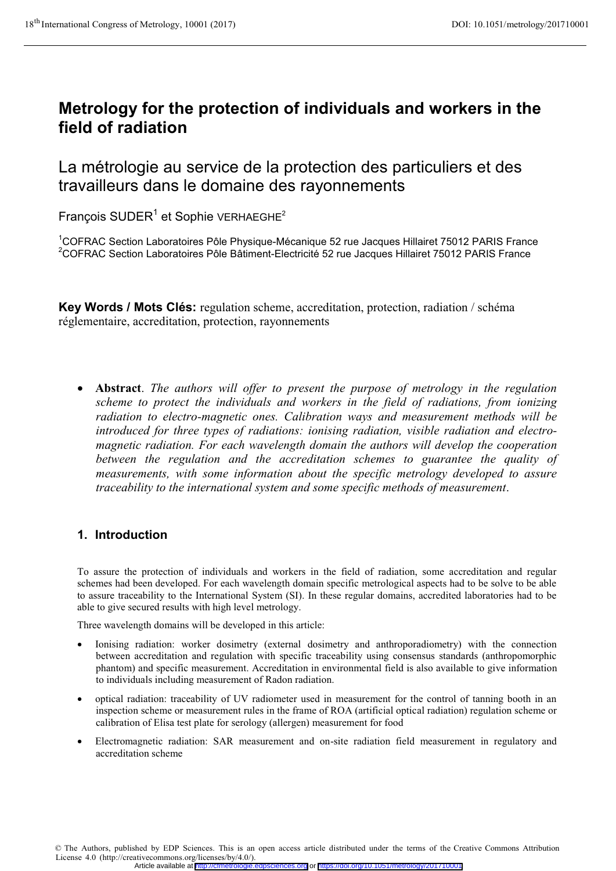# **Metrology for the protection of individuals and workers in the field of radiation**

# La métrologie au service de la protection des particuliers et des travailleurs dans le domaine des rayonnements

François SUDER<sup>1</sup> et Sophie VERHAEGHE<sup>2</sup>

<sup>1</sup>COFRAC Section Laboratoires Pôle Physique-Mécanique 52 rue Jacques Hillairet 75012 PARIS France<br><sup>2</sup>COERAC Section Laboratoires Pôle Bôtiment Electricité 52 rue Jacques Hillairet 75012 PARIS France <sup>2</sup>COFRAC Section Laboratoires Pôle Bâtiment-Electricité 52 rue Jacques Hillairet 75012 PARIS France

**Key Words / Mots Clés:** regulation scheme, accreditation, protection, radiation / schéma réglementaire, accreditation, protection, rayonnements

• **Abstract**. The authors will offer to present the purpose of metrology in the regulation *scheme to protect the individuals and workers in the field of radiations, from ionizing radiation to electro-magnetic ones. Calibration ways and measurement methods will be introduced for three types of radiations: ionising radiation, visible radiation and electromagnetic radiation. For each wavelength domain the authors will develop the cooperation between the regulation and the accreditation schemes to guarantee the quality of measurements, with some information about the specific metrology developed to assure traceability to the international system and some specific methods of measurement*.

# **1. Introduction**

To assure the protection of individuals and workers in the field of radiation, some accreditation and regular schemes had been developed. For each wavelength domain specific metrological aspects had to be solve to be able to assure traceability to the International System (SI). In these regular domains, accredited laboratories had to be able to give secured results with high level metrology.

Three wavelength domains will be developed in this article:

- - Ionising radiation: worker dosimetry (external dosimetry and anthroporadiometry) with the connection between accreditation and regulation with specific traceability using consensus standards (anthropomorphic phantom) and specific measurement. Accreditation in environmental field is also available to give information to individuals including measurement of Radon radiation.
- $\bullet$  optical radiation: traceability of UV radiometer used in measurement for the control of tanning booth in an inspection scheme or measurement rules in the frame of ROA (artificial optical radiation) regulation scheme or calibration of Elisa test plate for serology (allergen) measurement for food
- - Electromagnetic radiation: SAR measurement and on-site radiation field measurement in regulatory and accreditation scheme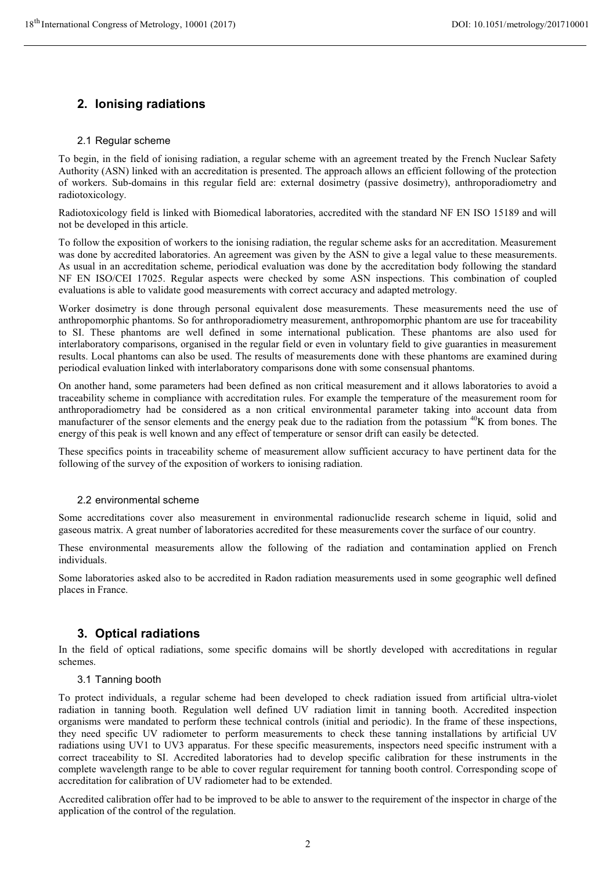# **2. Ionising radiations**

### 2.1 Regular scheme

To begin, in the field of ionising radiation, a regular scheme with an agreement treated by the French Nuclear Safety Authority (ASN) linked with an accreditation is presented. The approach allows an efficient following of the protection of workers. Sub-domains in this regular field are: external dosimetry (passive dosimetry), anthroporadiometry and radiotoxicology.

Radiotoxicology field is linked with Biomedical laboratories, accredited with the standard NF EN ISO 15189 and will not be developed in this article.

To follow the exposition of workers to the ionising radiation, the regular scheme asks for an accreditation. Measurement was done by accredited laboratories. An agreement was given by the ASN to give a legal value to these measurements. As usual in an accreditation scheme, periodical evaluation was done by the accreditation body following the standard NF EN ISO/CEI 17025. Regular aspects were checked by some ASN inspections. This combination of coupled evaluations is able to validate good measurements with correct accuracy and adapted metrology.

Worker dosimetry is done through personal equivalent dose measurements. These measurements need the use of anthropomorphic phantoms. So for anthroporadiometry measurement, anthropomorphic phantom are use for traceability to SI. These phantoms are well defined in some international publication. These phantoms are also used for interlaboratory comparisons, organised in the regular field or even in voluntary field to give guaranties in measurement results. Local phantoms can also be used. The results of measurements done with these phantoms are examined during periodical evaluation linked with interlaboratory comparisons done with some consensual phantoms.

On another hand, some parameters had been defined as non critical measurement and it allows laboratories to avoid a traceability scheme in compliance with accreditation rules. For example the temperature of the measurement room for anthroporadiometry had be considered as a non critical environmental parameter taking into account data from manufacturer of the sensor elements and the energy peak due to the radiation from the potassium  $^{40}$ K from bones. The energy of this peak is well known and any effect of temperature or sensor drift can easily be detected.

These specifics points in traceability scheme of measurement allow sufficient accuracy to have pertinent data for the following of the survey of the exposition of workers to ionising radiation.

## 2.2 environmental scheme

Some accreditations cover also measurement in environmental radionuclide research scheme in liquid, solid and gaseous matrix. A great number of laboratories accredited for these measurements cover the surface of our country.

These environmental measurements allow the following of the radiation and contamination applied on French individuals.

Some laboratories asked also to be accredited in Radon radiation measurements used in some geographic well defined places in France.

## **3. Optical radiations**

In the field of optical radiations, some specific domains will be shortly developed with accreditations in regular schemes.

#### 3.1 Tanning booth

To protect individuals, a regular scheme had been developed to check radiation issued from artificial ultra-violet radiation in tanning booth. Regulation well defined UV radiation limit in tanning booth. Accredited inspection organisms were mandated to perform these technical controls (initial and periodic). In the frame of these inspections, they need specific UV radiometer to perform measurements to check these tanning installations by artificial UV radiations using UV1 to UV3 apparatus. For these specific measurements, inspectors need specific instrument with a correct traceability to SI. Accredited laboratories had to develop specific calibration for these instruments in the complete wavelength range to be able to cover regular requirement for tanning booth control. Corresponding scope of accreditation for calibration of UV radiometer had to be extended.

Accredited calibration offer had to be improved to be able to answer to the requirement of the inspector in charge of the application of the control of the regulation.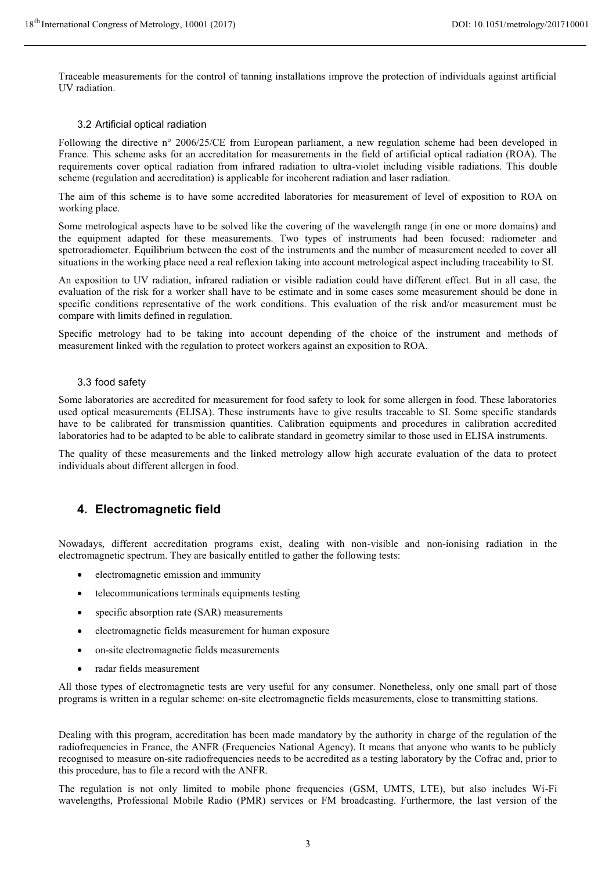Traceable measurements for the control of tanning installations improve the protection of individuals against artificial UV radiation.

## 3.2 Artificial optical radiation

Following the directive n° 2006/25/CE from European parliament, a new regulation scheme had been developed in France. This scheme asks for an accreditation for measurements in the field of artificial optical radiation (ROA). The requirements cover optical radiation from infrared radiation to ultra-violet including visible radiations. This double scheme (regulation and accreditation) is applicable for incoherent radiation and laser radiation.

The aim of this scheme is to have some accredited laboratories for measurement of level of exposition to ROA on working place.

Some metrological aspects have to be solved like the covering of the wavelength range (in one or more domains) and the equipment adapted for these measurements. Two types of instruments had been focused: radiometer and spetroradiometer. Equilibrium between the cost of the instruments and the number of measurement needed to cover all situations in the working place need a real reflexion taking into account metrological aspect including traceability to SI.

An exposition to UV radiation, infrared radiation or visible radiation could have different effect. But in all case, the evaluation of the risk for a worker shall have to be estimate and in some cases some measurement should be done in specific conditions representative of the work conditions. This evaluation of the risk and/or measurement must be compare with limits defined in regulation.

Specific metrology had to be taking into account depending of the choice of the instrument and methods of measurement linked with the regulation to protect workers against an exposition to ROA.

#### 3.3 food safety

Some laboratories are accredited for measurement for food safety to look for some allergen in food. These laboratories used optical measurements (ELISA). These instruments have to give results traceable to SI. Some specific standards have to be calibrated for transmission quantities. Calibration equipments and procedures in calibration accredited laboratories had to be adapted to be able to calibrate standard in geometry similar to those used in ELISA instruments.

The quality of these measurements and the linked metrology allow high accurate evaluation of the data to protect individuals about different allergen in food.

## **4. Electromagnetic field**

Nowadays, different accreditation programs exist, dealing with non-visible and non-ionising radiation in the electromagnetic spectrum. They are basically entitled to gather the following tests:

- electromagnetic emission and immunity
- telecommunications terminals equipments testing
- specific absorption rate (SAR) measurements
- electromagnetic fields measurement for human exposure
- on-site electromagnetic fields measurements
- radar fields measurement

All those types of electromagnetic tests are very useful for any consumer. Nonetheless, only one small part of those programs is written in a regular scheme: on-site electromagnetic fields measurements, close to transmitting stations.

Dealing with this program, accreditation has been made mandatory by the authority in charge of the regulation of the radiofrequencies in France, the ANFR (Frequencies National Agency). It means that anyone who wants to be publicly recognised to measure on-site radiofrequencies needs to be accredited as a testing laboratory by the Cofrac and, prior to this procedure, has to file a record with the ANFR.

The regulation is not only limited to mobile phone frequencies (GSM, UMTS, LTE), but also includes Wi-Fi wavelengths, Professional Mobile Radio (PMR) services or FM broadcasting. Furthermore, the last version of the